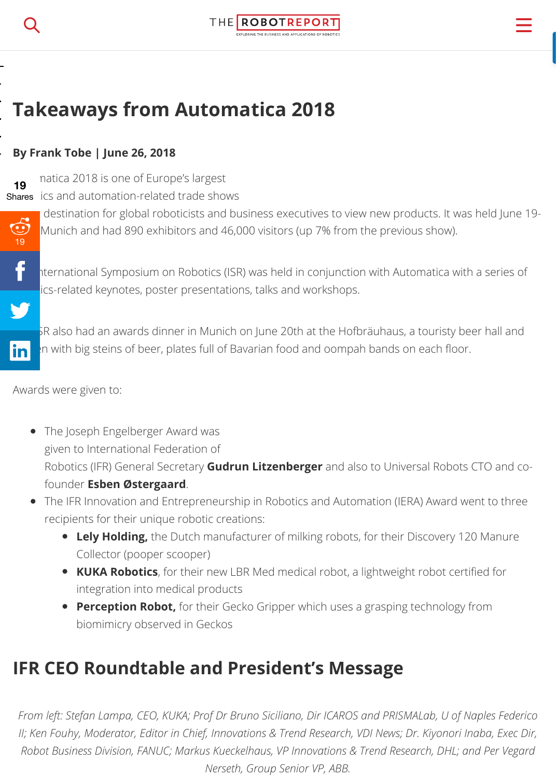#### **By Frank Tobe | June 26, 2018**

**19**

natica 2018 is one of Europe's largest

**Shares** ics and automation-related trade shows



destination for global roboticists and business executives to view new products. It was he Munich and had 890 exhibitors and 46,000 visitors (up 7% from the previous show).



The International Symposium on Robotics (ISR) was held in conjunction with Automatica with a s ics-related keynotes, poster presentations, talks and workshops.



SR also had an awards dinner in Munich on June 20th at the Hofbräuhaus, a touristy beer hall in the with big steins of beer, plates full of Bavarian food and oompah bands on each floor.

[Award](javascript:void(0);)s were given to:

- The Joseph Engelberger Award was given to International Federation of Robotics (IFR) General Secretary **Gudrun Litzenberger** and also to Universal Robots CTO founder **Esben Østergaard**.
- The IFR Innovation and Entrepreneurship in Robotics and Automation (IERA) Award went recipients for their unique robotic creations:
	- **Lely Holding,** the Dutch manufacturer of milking robots, for their Discovery 120 M Collector (pooper scooper)
	- **KUKA Robotics**, for their new LBR Med medical robot, a lightweight robot certified integration into medical products
	- **Perception Robot,** for their Gecko Gripper which uses a grasping technology from biomimicry observed in Geckos

## **IFR CEO Roundtable and President's Message**

*From left: Stefan Lampa, CEO, KUKA; Prof Dr Bruno Siciliano, Dir ICAROS and PRISMALab, U of Naples II; Ken Fouhy, Moderator, Editor in Chief, Innovations & Trend Research, VDI News; Dr. Kiyonori Inabi*, *Robot Business Division, FANUC; Markus Kueckelhaus, VP Innovations & Trend Research, DHL; and F Nerseth, Group Senior VP, ABB.*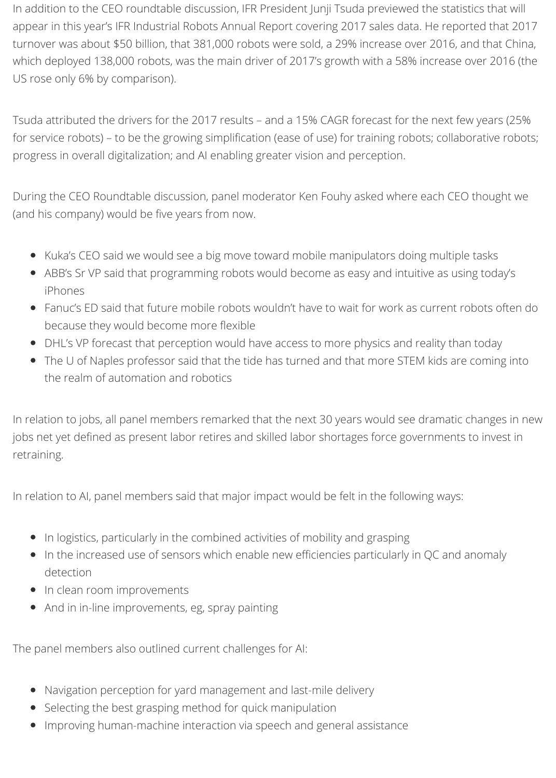In addition to the CEO roundtable discussion, IFR President Junji Tsuda previewed the statistics that will appear in this year's IFR Industrial Robots Annual Report covering 2017 sales data. He reported that 2017 turnover was about \$50 billion, that 381,000 robots were sold, a 29% increase over 2016, and that China, which deployed 138,000 robots, was the main driver of 2017's growth with a 58% increase over 2016 (the US rose only 6% by comparison).

Tsuda attributed the drivers for the 2017 results – and a 15% CAGR forecast for the next few years (25% for service robots) – to be the growing simplification (ease of use) for training robots; collaborative robots; progress in overall digitalization; and AI enabling greater vision and perception.

During the CEO Roundtable discussion, panel moderator Ken Fouhy asked where each CEO thought we (and his company) would be five years from now.

- Kuka's CEO said we would see a big move toward mobile manipulators doing multiple tasks
- ABB's Sr VP said that programming robots would become as easy and intuitive as using today's iPhones
- Fanuc's ED said that future mobile robots wouldn't have to wait for work as current robots often do because they would become more flexible
- DHL's VP forecast that perception would have access to more physics and reality than today
- The U of Naples professor said that the tide has turned and that more STEM kids are coming into the realm of automation and robotics

In relation to jobs, all panel members remarked that the next 30 years would see dramatic changes in new jobs net yet defined as present labor retires and skilled labor shortages force governments to invest in retraining.

In relation to AI, panel members said that major impact would be felt in the following ways:

- In logistics, particularly in the combined activities of mobility and grasping
- In the increased use of sensors which enable new efficiencies particularly in QC and anomaly detection
- In clean room improvements
- And in in-line improvements, eg, spray painting

The panel members also outlined current challenges for AI:

- Navigation perception for yard management and last-mile delivery
- Selecting the best grasping method for quick manipulation
- Improving human-machine interaction via speech and general assistance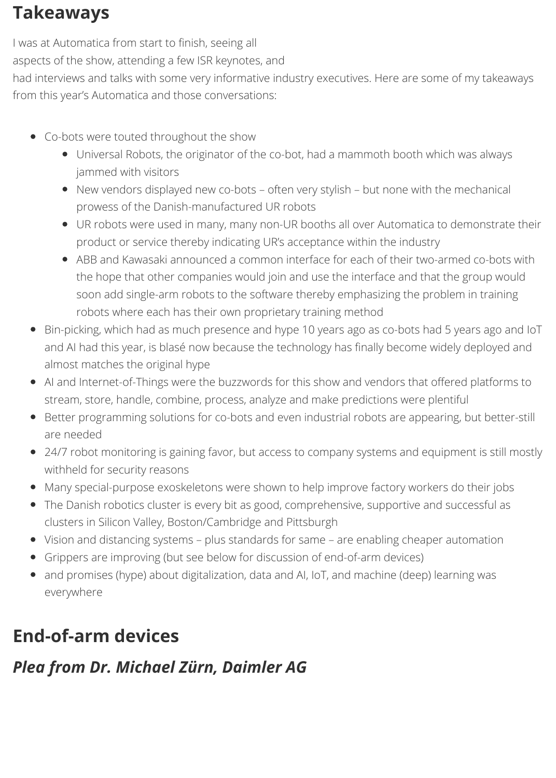## **Takeaways**

I was at Automatica from start to finish, seeing all

aspects of the show, attending a few ISR keynotes, and

had interviews and talks with some very informative industry executives. Here are some of my takeaways from this year's Automatica and those conversations:

- Co-bots were touted throughout the show
	- Universal Robots, the originator of the co-bot, had a mammoth booth which was always jammed with visitors
	- New vendors displayed new co-bots often very stylish but none with the mechanical prowess of the Danish-manufactured UR robots
	- UR robots were used in many, many non-UR booths all over Automatica to demonstrate their product or service thereby indicating UR's acceptance within the industry
	- ABB and Kawasaki announced a common interface for each of their two-armed co-bots with the hope that other companies would join and use the interface and that the group would soon add single-arm robots to the software thereby emphasizing the problem in training robots where each has their own proprietary training method
- Bin-picking, which had as much presence and hype 10 years ago as co-bots had 5 years ago and IoT and AI had this year, is blasé now because the technology has finally become widely deployed and almost matches the original hype
- AI and Internet-of-Things were the buzzwords for this show and vendors that offered platforms to stream, store, handle, combine, process, analyze and make predictions were plentiful
- Better programming solutions for co-bots and even industrial robots are appearing, but better-still are needed
- 24/7 robot monitoring is gaining favor, but access to company systems and equipment is still mostly withheld for security reasons
- Many special-purpose exoskeletons were shown to help improve factory workers do their jobs
- The Danish robotics cluster is every bit as good, comprehensive, supportive and successful as clusters in Silicon Valley, Boston/Cambridge and Pittsburgh
- Vision and distancing systems plus standards for same are enabling cheaper automation
- Grippers are improving (but see below for discussion of end-of-arm devices)
- and promises (hype) about digitalization, data and AI, IoT, and machine (deep) learning was everywhere

# **End-of-arm devices**

## *Plea from Dr. Michael Zürn, Daimler AG*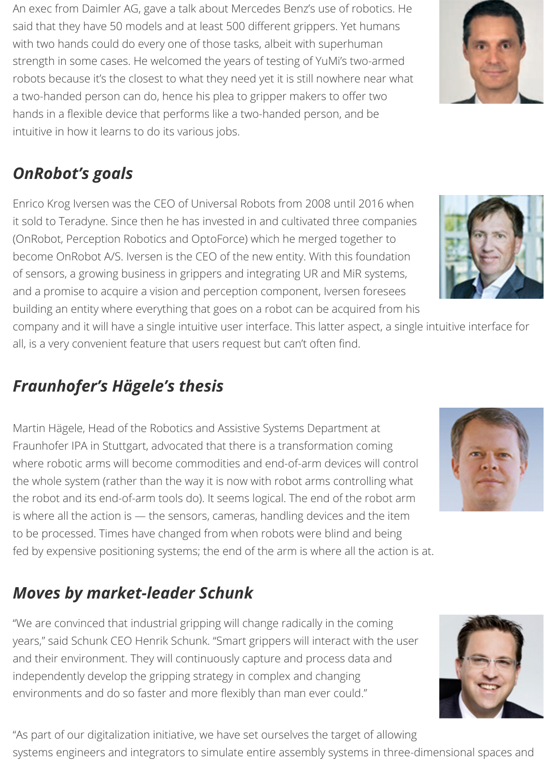An exec from Daimler AG, gave a talk about Mercedes Benz's use of robotics. He said that they have 50 models and at least 500 different grippers. Yet humans with two hands could do every one of those tasks, albeit with superhuman strength in some cases. He welcomed the years of testing of YuMi's two-armed robots because it's the closest to what they need yet it is still nowhere near what a two-handed person can do, hence his plea to gripper makers to offer two hands in a flexible device that performs like a two-handed person, and be intuitive in how it learns to do its various jobs.

# *OnRobot's goals*

Enrico Krog Iversen was the CEO of Universal Robots from 2008 until 2016 when it sold to Teradyne. Since then he has invested in and cultivated three companies (OnRobot, Perception Robotics and OptoForce) which he merged together to become OnRobot A/S. Iversen is the CEO of the new entity. With this foundation of sensors, a growing business in grippers and integrating UR and MiR systems, and a promise to acquire a vision and perception component, Iversen foresees building an entity where everything that goes on a robot can be acquired from his

company and it will have a single intuitive user interface. This latter aspect, a single intuitive interface for all, is a very convenient feature that users request but can't often find.

# *Fraunhofer's Hägele's thesis*

Martin Hägele, Head of the Robotics and Assistive Systems Department at Fraunhofer IPA in Stuttgart, advocated that there is a transformation coming where robotic arms will become commodities and end-of-arm devices will control the whole system (rather than the way it is now with robot arms controlling what the robot and its end-of-arm tools do). It seems logical. The end of the robot arm is where all the action is — the sensors, cameras, handling devices and the item to be processed. Times have changed from when robots were blind and being fed by expensive positioning systems; the end of the arm is where all the action is at.

# *Moves by market-leader Schunk*

"We are convinced that industrial gripping will change radically in the coming years," said Schunk CEO Henrik Schunk. "Smart grippers will interact with the user and their environment. They will continuously capture and process data and independently develop the gripping strategy in complex and changing environments and do so faster and more flexibly than man ever could."

"As part of our digitalization initiative, we have set ourselves the target of allowing systems engineers and integrators to simulate entire assembly systems in three-dimensional spaces and







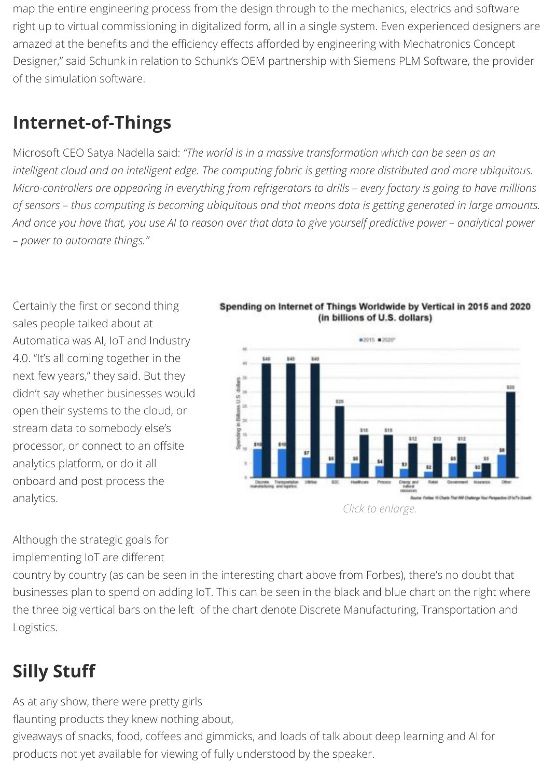Microsoft CEO Satya Nadella said: "The world is in a massive transformation which can be seen as c *intelligent cloud and an intelligent edge. The computing fabric is getting more distributed and more uf Micro-controllers are appearing in everything from refrigerators to drills – every factory is going to ha of sensors – thus computing is becoming ubiquitous and that means data is getting generated in large amounts. And once you have that, you use AI to reason over that data to give yourself predictive power – analytical power – power to automate things."*

Certainly the first or second thing sales people talked about at Automatica was AI, IoT and Industry 4.0. "It's all coming together in the next few years," they said. But they didn't say whether businesses would open their systems to the cloud, or stream data to somebody else's processor, or connect to an offsite analytics platform, or do it all onboard and post process the analytics.



Spending on Internet of Things Worldwide by Vertical in 2015 (in billions of U.S. dollars)

Although the strategic goals for implementing IoT are different

country by country (as can be seen in the interesting chart above from Forbes), there's no doub businesses plan to spend on adding IoT. This can be seen in the black and blue chart on the rig the three big vertical bars on the left of the chart denote Discrete Manufacturing, Transportation Logistics.

# **Silly Stuff**

As at any show, there were pretty girls flaunting products they knew nothing about, giveaways of snacks, food, coffees and gimmicks, and loads of talk about deep learning and AI for products not yet available for viewing of fully understood by the speaker.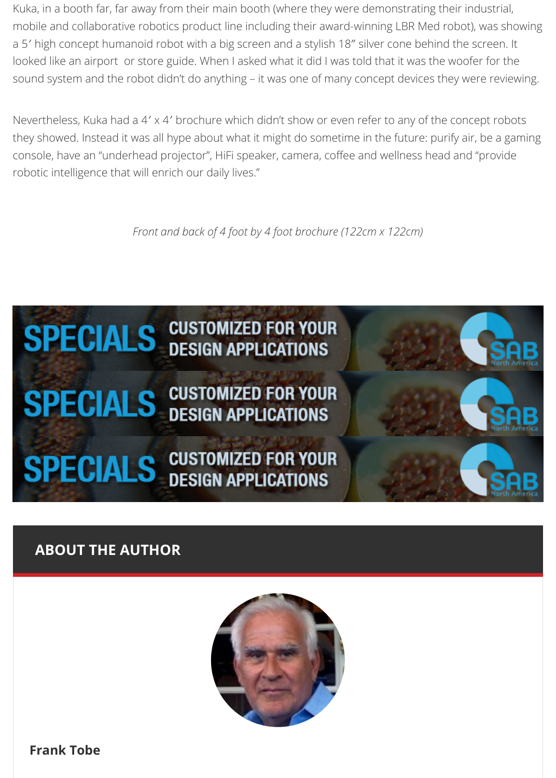console, have an "underhead projector", HiFi speaker, camera, coffee and wellness head and "pi robotic intelligence that will enrich our daily lives."

*Front and back of 4 foot by 4 foot brochure (122cm x 122cm)*



## **[ABOUT THE AUTHOR](https://designw.nui.media/pipeline/538622/0/cj?ajkey=V12F83964FDJ-573J8100K8662318FE1A91CL507058L558500QK86667QQP0G00G0Q13ACBB1F000001010000G0PG30H36W8cd3616572DW479cc2DW44fbb2DW4b2982DX12024cd1b5bfb6G0G024)**



**Frank Tobe**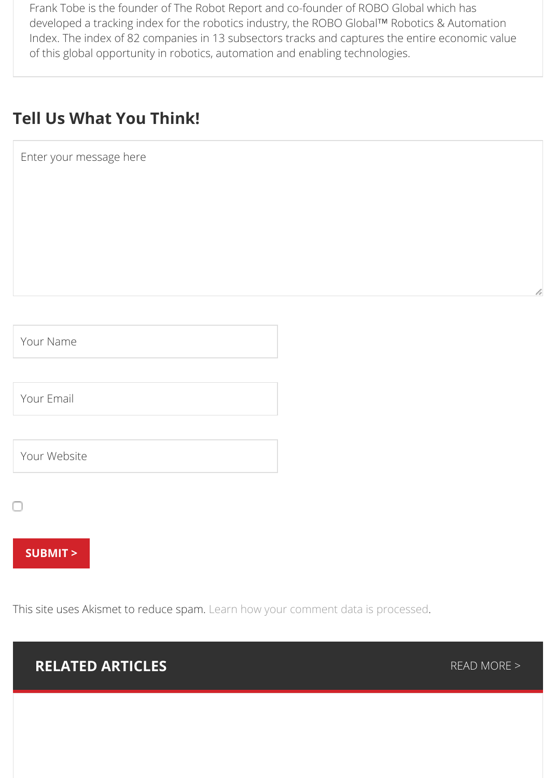| Your Name                                                                        |               |
|----------------------------------------------------------------------------------|---------------|
|                                                                                  |               |
| Your Email                                                                       |               |
|                                                                                  |               |
| Your Website                                                                     |               |
| $\overline{\phantom{a}}$                                                         |               |
| <b>SUBMIT &gt;</b>                                                               |               |
|                                                                                  |               |
| This site uses Akismet to reduce spam. Learn how your comment data is processed. |               |
| <b>RELATED ARTICLES</b>                                                          | <b>READ M</b> |
|                                                                                  |               |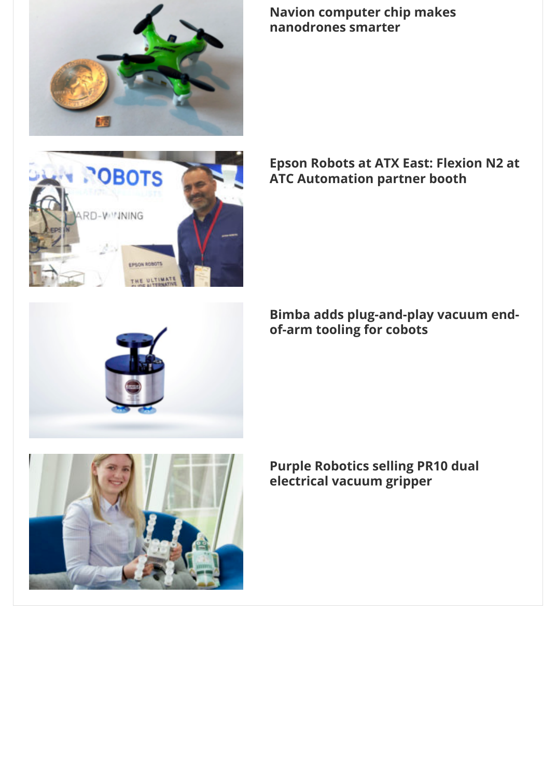



## **[Epson Robots at ATX East: Flex](https://www.therobotreport.com/navion-computer-chip-nanodrones-smarter/)ion ATC Automation partner booth**

**Bimba adds plug-and-play vacuum of-arm tooling for cobots**

**[Purple Robotics selling PR10 dual](https://www.therobotreport.com/bimba-crvt-vacuum-end-arm-tooling/) electrical vacuum gripper**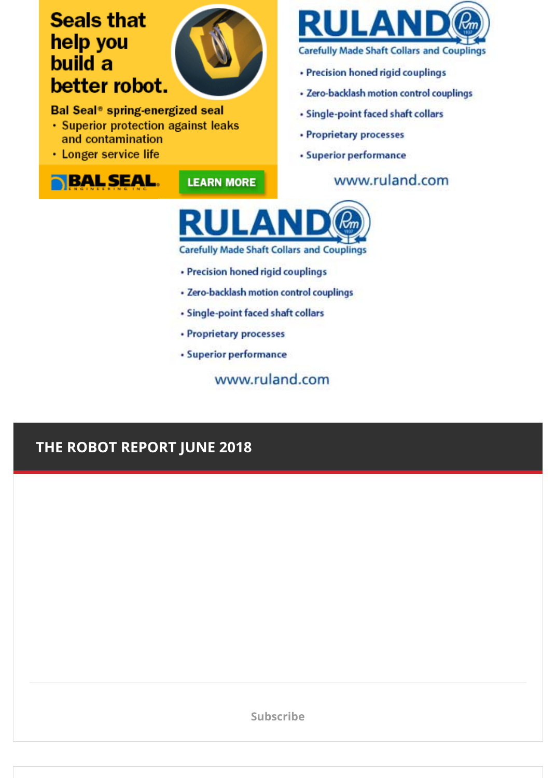· Longer service life



**LEARN MORE** 

· Superior performance

www.ruland.com



**Carefully Made Shaft Collars and Couplings** 

- · Precision honed rigid couplings
- · Zero-backlash motion control couplings
- · Single-point faced shaft collars
- Proprietary processes
- · Superior performance

www.ruland.com

## THE ROBOT REPORT JUNE 2018

**Subscribe**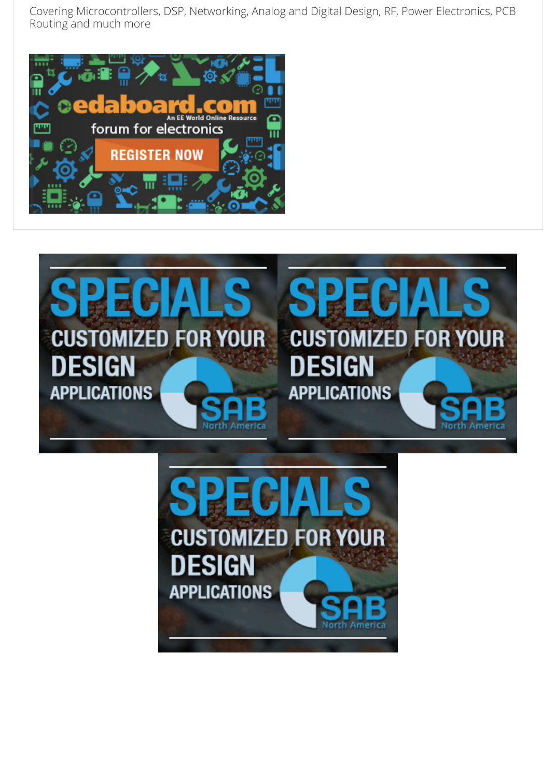



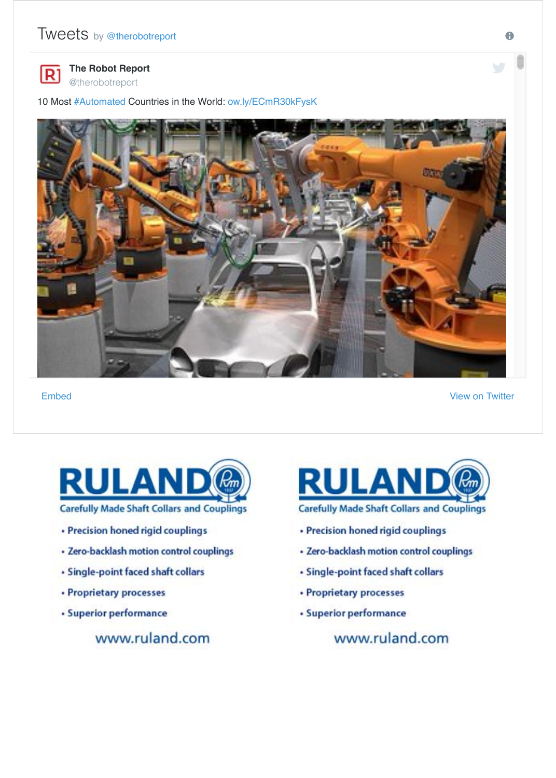

#### **Embed**

**View on** 



- · Precision honed rigid couplings
- · Zero-backlash motion control couplings
- Single-point faced shaft collars
- Proprietary processes
- · Superior performance

www.ruland.com



- · Precision honed rigid couplings
- · Zero-backlash motion control couplings
- · Single-point faced shaft collars
- Proprietary processes
- · Superior performance

www.ruland.com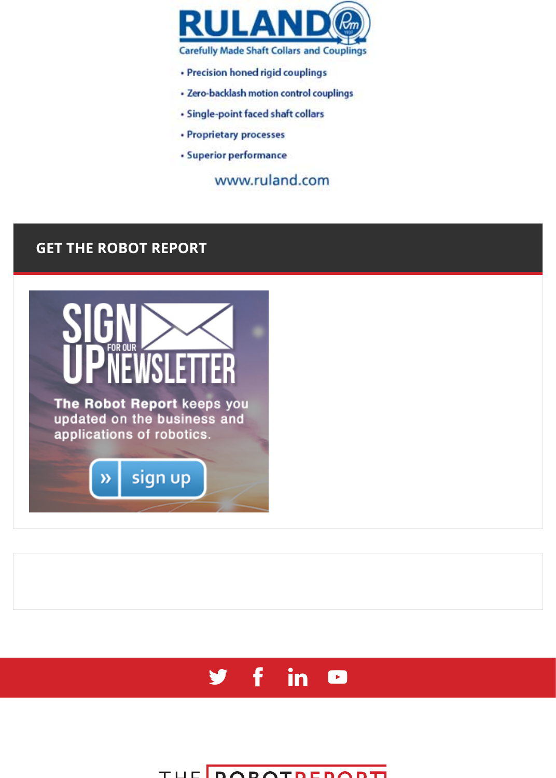· Superior performance

www.ruland.com

## **GET THE ROBOT [REPORT](https://designw.nui.media/pipeline/538630/0/cj?ajkey=V126BDE8218J-573J8100K8662318FE1A91CL571620L571618QK86699QQP0G00G0Q13ACBB20000001010000G0PG30H36W8459852162DW489552DW444462DW4a0b22DX128dde6ac8a6beG0G00D)**